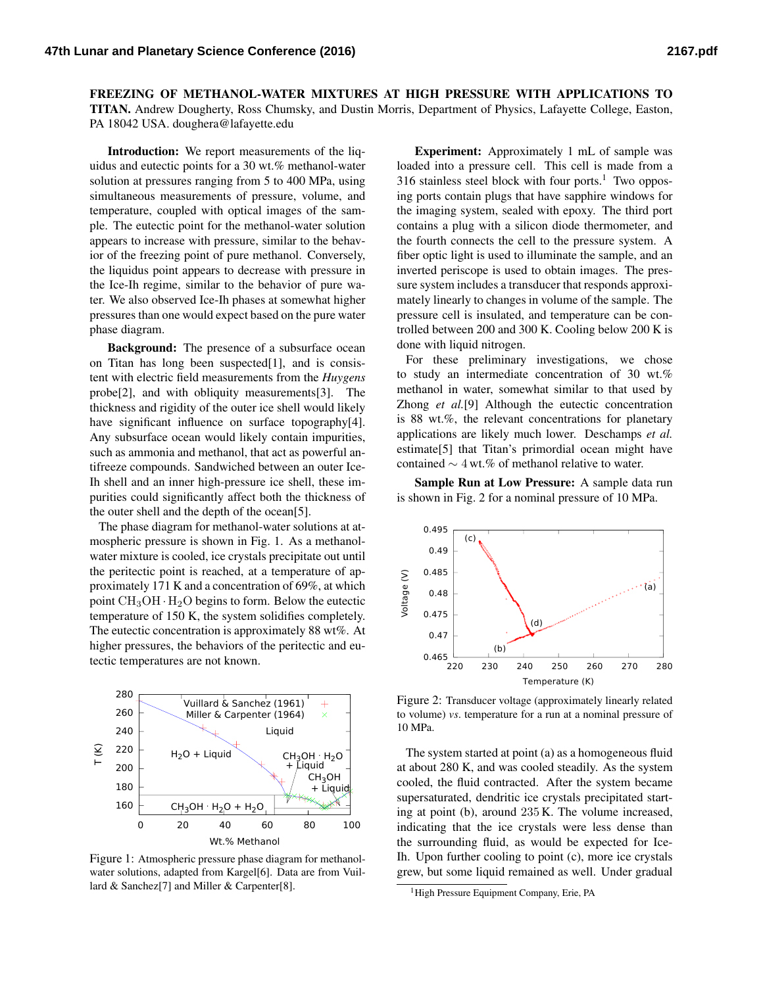FREEZING OF METHANOL-WATER MIXTURES AT HIGH PRESSURE WITH APPLICATIONS TO TITAN. Andrew Dougherty, Ross Chumsky, and Dustin Morris, Department of Physics, Lafayette College, Easton, PA 18042 USA. [doughera@lafayette.edu](mailto:doughera@lafayette.edu)

Introduction: We report measurements of the liquidus and eutectic points for a 30 wt.% methanol-water solution at pressures ranging from 5 to 400 MPa, using simultaneous measurements of pressure, volume, and temperature, coupled with optical images of the sample. The eutectic point for the methanol-water solution appears to increase with pressure, similar to the behavior of the freezing point of pure methanol. Conversely, the liquidus point appears to decrease with pressure in the Ice-Ih regime, similar to the behavior of pure water. We also observed Ice-Ih phases at somewhat higher pressures than one would expect based on the pure water phase diagram.

Background: The presence of a subsurface ocean on Titan has long been suspected[\[1\]](#page-1-0), and is consistent with electric field measurements from the *Huygens* probe[\[2\]](#page-1-1), and with obliquity measurements[\[3\]](#page-1-2). The thickness and rigidity of the outer ice shell would likely have significant influence on surface topography[\[4\]](#page-1-3). Any subsurface ocean would likely contain impurities, such as ammonia and methanol, that act as powerful antifreeze compounds. Sandwiched between an outer Ice-Ih shell and an inner high-pressure ice shell, these impurities could significantly affect both the thickness of the outer shell and the depth of the ocean[\[5\]](#page-1-4).

The phase diagram for methanol-water solutions at atmospheric pressure is shown in Fig. [1.](#page-0-0) As a methanolwater mixture is cooled, ice crystals precipitate out until the peritectic point is reached, at a temperature of approximately 171 K and a concentration of 69%, at which point  $CH<sub>3</sub>OH·H<sub>2</sub>O$  begins to form. Below the eutectic temperature of 150 K, the system solidifies completely. The eutectic concentration is approximately 88 wt%. At higher pressures, the behaviors of the peritectic and eutectic temperatures are not known.



<span id="page-0-0"></span>Figure 1: Atmospheric pressure phase diagram for methanolwater solutions, adapted from Kargel[\[6\]](#page-1-5). Data are from Vuillard & Sanchez[\[7\]](#page-1-6) and Miller & Carpenter[\[8\]](#page-1-7).

Experiment: Approximately 1 mL of sample was loaded into a pressure cell. This cell is made from a  $316$  $316$  $316$  stainless steel block with four ports.<sup>1</sup> Two opposing ports contain plugs that have sapphire windows for the imaging system, sealed with epoxy. The third port contains a plug with a silicon diode thermometer, and the fourth connects the cell to the pressure system. A fiber optic light is used to illuminate the sample, and an inverted periscope is used to obtain images. The pressure system includes a transducer that responds approximately linearly to changes in volume of the sample. The pressure cell is insulated, and temperature can be controlled between 200 and 300 K. Cooling below 200 K is done with liquid nitrogen.

For these preliminary investigations, we chose to study an intermediate concentration of 30 wt.% methanol in water, somewhat similar to that used by Zhong *et al.*[\[9\]](#page-1-8) Although the eutectic concentration is 88 wt.%, the relevant concentrations for planetary applications are likely much lower. Deschamps *et al.* estimate[\[5\]](#page-1-4) that Titan's primordial ocean might have contained ∼ 4 wt.% of methanol relative to water.

Sample Run at Low Pressure: A sample data run is shown in Fig. [2](#page-0-2) for a nominal pressure of 10 MPa.



<span id="page-0-2"></span>Figure 2: Transducer voltage (approximately linearly related to volume) *vs*. temperature for a run at a nominal pressure of 10 MPa.

The system started at point (a) as a homogeneous fluid at about 280 K, and was cooled steadily. As the system cooled, the fluid contracted. After the system became supersaturated, dendritic ice crystals precipitated starting at point (b), around 235 K. The volume increased, indicating that the ice crystals were less dense than the surrounding fluid, as would be expected for Ice-Ih. Upon further cooling to point (c), more ice crystals grew, but some liquid remained as well. Under gradual

<span id="page-0-1"></span><sup>&</sup>lt;sup>1</sup>High Pressure Equipment Company, Erie, PA